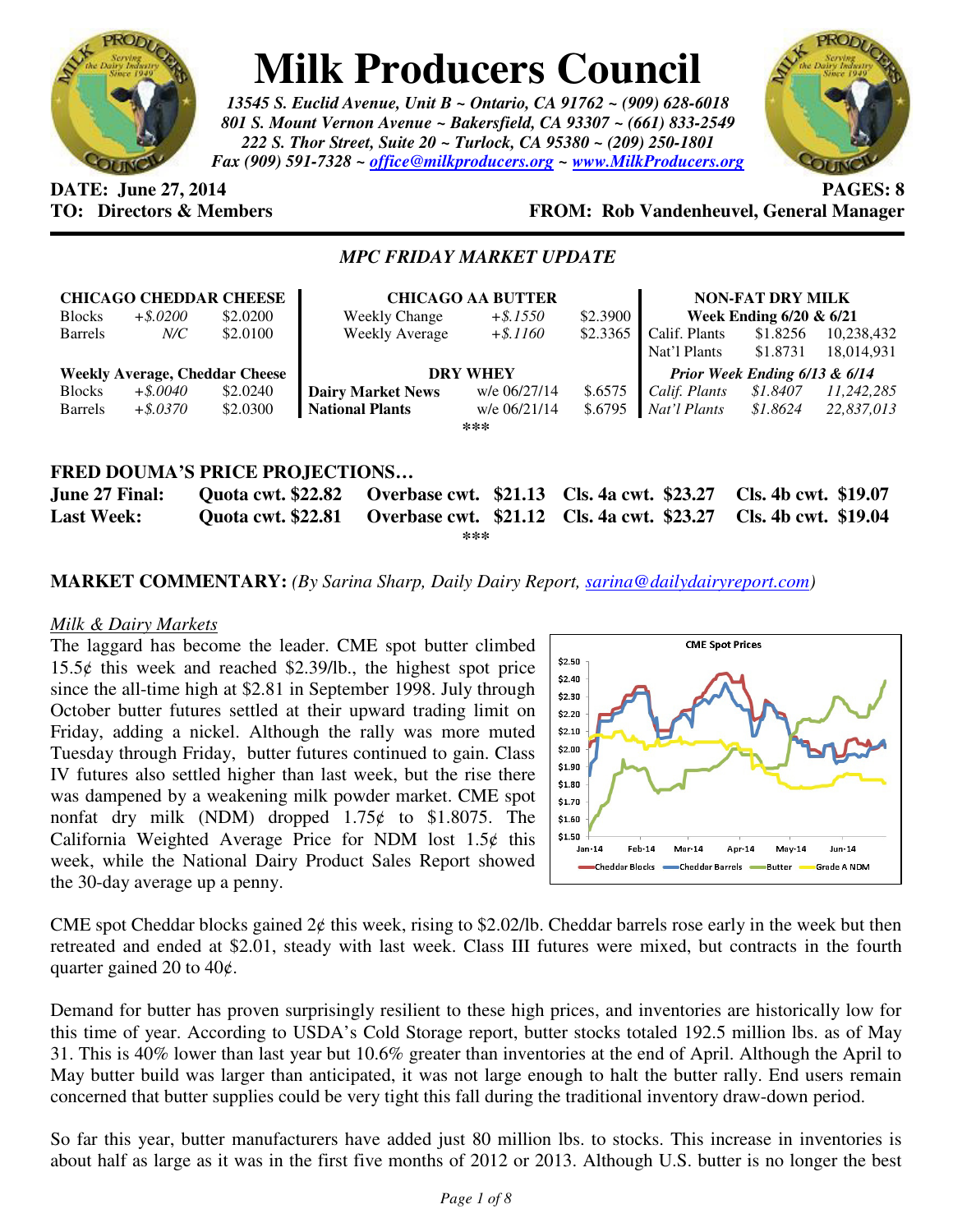

# **Milk Producers Council**

*13545 S. Euclid Avenue, Unit B ~ Ontario, CA 91762 ~ (909) 628-6018 801 S. Mount Vernon Avenue ~ Bakersfield, CA 93307 ~ (661) 833-2549 222 S. Thor Street, Suite 20 ~ Turlock, CA 95380 ~ (209) 250-1801 Fax (909) 591-7328 ~ office@milkproducers.org ~ www.MilkProducers.org*



# **DATE:** June 27, 2014 **PAGES: 8**

# **TO: Directors & Members FROM: Rob Vandenheuvel, General Manager**

# *MPC FRIDAY MARKET UPDATE*

| <b>CHICAGO CHEDDAR CHEESE</b>         |             |          | <b>CHICAGO AA BUTTER</b> |              |          | <b>NON-FAT DRY MILK</b>            |          |            |
|---------------------------------------|-------------|----------|--------------------------|--------------|----------|------------------------------------|----------|------------|
| <b>Blocks</b>                         | $+$ \$.0200 | \$2.0200 | Weekly Change            | $+$ \$.1550  | \$2.3900 | <b>Week Ending 6/20 &amp; 6/21</b> |          |            |
| <b>Barrels</b>                        | $N\!C$      | \$2.0100 | <b>Weekly Average</b>    | $+ $.1160$   | \$2.3365 | Calif. Plants                      | \$1.8256 | 10,238,432 |
|                                       |             |          |                          |              |          | Nat'l Plants                       | \$1.8731 | 18,014,931 |
| <b>Weekly Average, Cheddar Cheese</b> |             |          | <b>DRY WHEY</b>          |              |          | Prior Week Ending 6/13 & 6/14      |          |            |
| <b>Blocks</b>                         | $+$ \$.0040 | \$2.0240 | <b>Dairy Market News</b> | w/e 06/27/14 | \$.6575  | Calif. Plants                      | \$1.8407 | 11,242,285 |
| <b>Barrels</b>                        | $+$ \$.0370 | \$2.0300 | <b>National Plants</b>   | w/e 06/21/14 | \$.6795  | Nat'l Plants                       | \$1.8624 | 22,837,013 |
| ***                                   |             |          |                          |              |          |                                    |          |            |
|                                       |             |          |                          |              |          |                                    |          |            |
| <b>FRED DOUMA'S PRICE PROJECTIONS</b> |             |          |                          |              |          |                                    |          |            |

**June 27 Final: Quota cwt. \$22.82 Overbase cwt. \$21.13 Cls. 4a cwt. \$23.27 Cls. 4b cwt. \$19.07 Last Week: Quota cwt. \$22.81 Overbase cwt. \$21.12 Cls. 4a cwt. \$23.27 Cls. 4b cwt. \$19.04 \*\*\*** 

# **MARKET COMMENTARY:** *(By Sarina Sharp, Daily Dairy Report, sarina@dailydairyreport.com)*

#### *Milk & Dairy Markets*

The laggard has become the leader. CME spot butter climbed 15.5 $¢$  this week and reached \$2.39/lb., the highest spot price since the all-time high at \$2.81 in September 1998. July through October butter futures settled at their upward trading limit on Friday, adding a nickel. Although the rally was more muted Tuesday through Friday, butter futures continued to gain. Class IV futures also settled higher than last week, but the rise there was dampened by a weakening milk powder market. CME spot nonfat dry milk (NDM) dropped  $1.75¢$  to \$1.8075. The California Weighted Average Price for NDM lost  $1.5¢$  this week, while the National Dairy Product Sales Report showed the 30-day average up a penny.



CME spot Cheddar blocks gained  $2¢$  this week, rising to \$2.02/lb. Cheddar barrels rose early in the week but then retreated and ended at \$2.01, steady with last week. Class III futures were mixed, but contracts in the fourth quarter gained 20 to  $40¢$ .

Demand for butter has proven surprisingly resilient to these high prices, and inventories are historically low for this time of year. According to USDA's Cold Storage report, butter stocks totaled 192.5 million lbs. as of May 31. This is 40% lower than last year but 10.6% greater than inventories at the end of April. Although the April to May butter build was larger than anticipated, it was not large enough to halt the butter rally. End users remain concerned that butter supplies could be very tight this fall during the traditional inventory draw-down period.

So far this year, butter manufacturers have added just 80 million lbs. to stocks. This increase in inventories is about half as large as it was in the first five months of 2012 or 2013. Although U.S. butter is no longer the best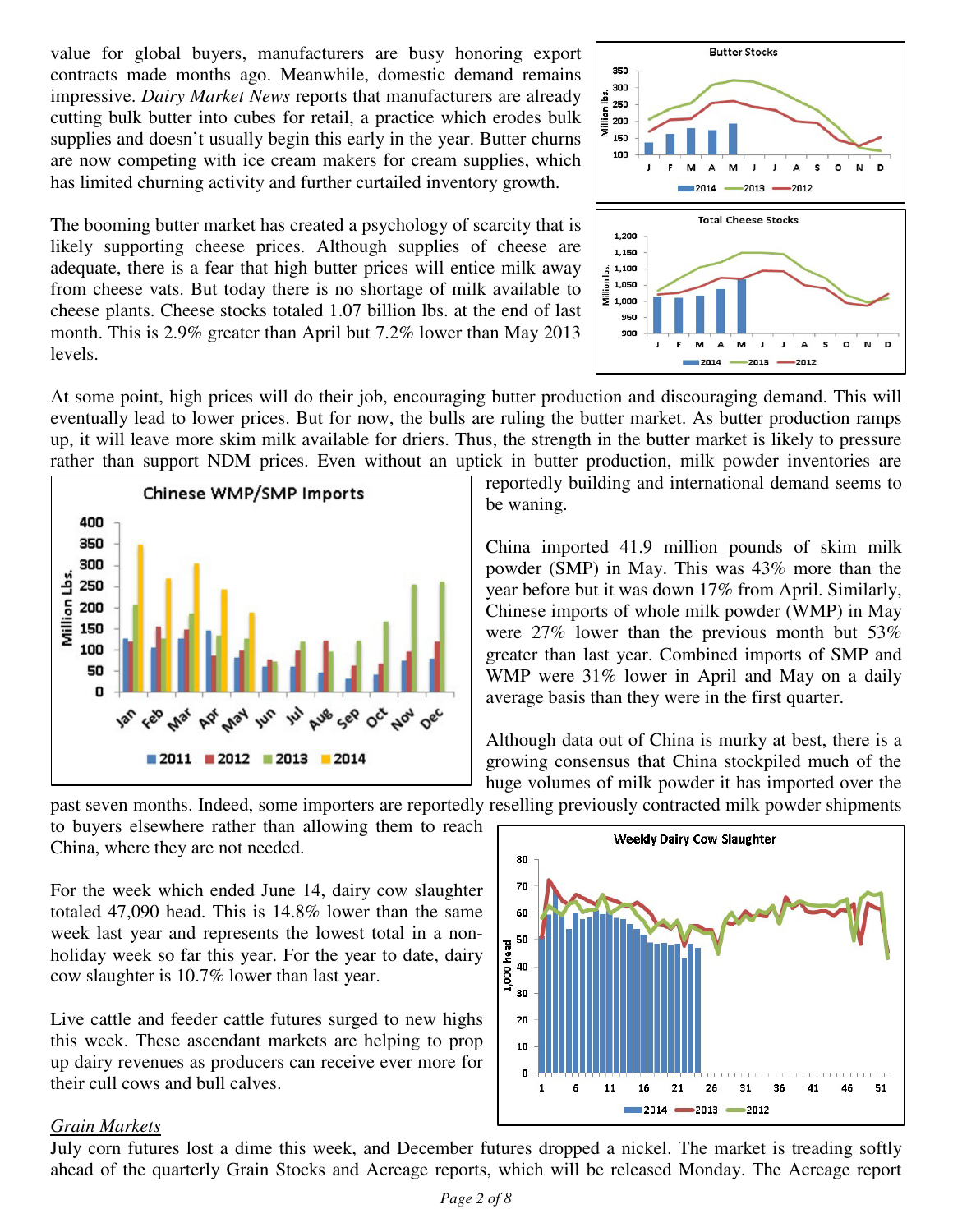value for global buyers, manufacturers are busy honoring export contracts made months ago. Meanwhile, domestic demand remains impressive. *Dairy Market News* reports that manufacturers are already cutting bulk butter into cubes for retail, a practice which erodes bulk supplies and doesn't usually begin this early in the year. Butter churns are now competing with ice cream makers for cream supplies, which has limited churning activity and further curtailed inventory growth.

The booming butter market has created a psychology of scarcity that is likely supporting cheese prices. Although supplies of cheese are adequate, there is a fear that high butter prices will entice milk away from cheese vats. But today there is no shortage of milk available to cheese plants. Cheese stocks totaled 1.07 billion lbs. at the end of last month. This is 2.9% greater than April but 7.2% lower than May 2013 levels.



At some point, high prices will do their job, encouraging butter production and discouraging demand. This will eventually lead to lower prices. But for now, the bulls are ruling the butter market. As butter production ramps up, it will leave more skim milk available for driers. Thus, the strength in the butter market is likely to pressure rather than support NDM prices. Even without an uptick in butter production, milk powder inventories are



reportedly building and international demand seems to be waning.

China imported 41.9 million pounds of skim milk powder (SMP) in May. This was 43% more than the year before but it was down 17% from April. Similarly, Chinese imports of whole milk powder (WMP) in May were 27% lower than the previous month but 53% greater than last year. Combined imports of SMP and WMP were 31% lower in April and May on a daily average basis than they were in the first quarter.

Although data out of China is murky at best, there is a growing consensus that China stockpiled much of the huge volumes of milk powder it has imported over the

past seven months. Indeed, some importers are reportedly reselling previously contracted milk powder shipments to buyers elsewhere rather than allowing them to reach China, where they are not needed.

For the week which ended June 14, dairy cow slaughter totaled 47,090 head. This is 14.8% lower than the same week last year and represents the lowest total in a nonholiday week so far this year. For the year to date, dairy cow slaughter is 10.7% lower than last year.

Live cattle and feeder cattle futures surged to new highs this week. These ascendant markets are helping to prop up dairy revenues as producers can receive ever more for their cull cows and bull calves.

#### **Weekly Dairy Cow Slaughter** 80 70 60 50 L,000 head 40 30 20 10 o 1 6  $11$ 16 21 26 31 36 41 46 51  $2014$   $-2013$   $-2012$

# *Grain Markets*

July corn futures lost a dime this week, and December futures dropped a nickel. The market is treading softly ahead of the quarterly Grain Stocks and Acreage reports, which will be released Monday. The Acreage report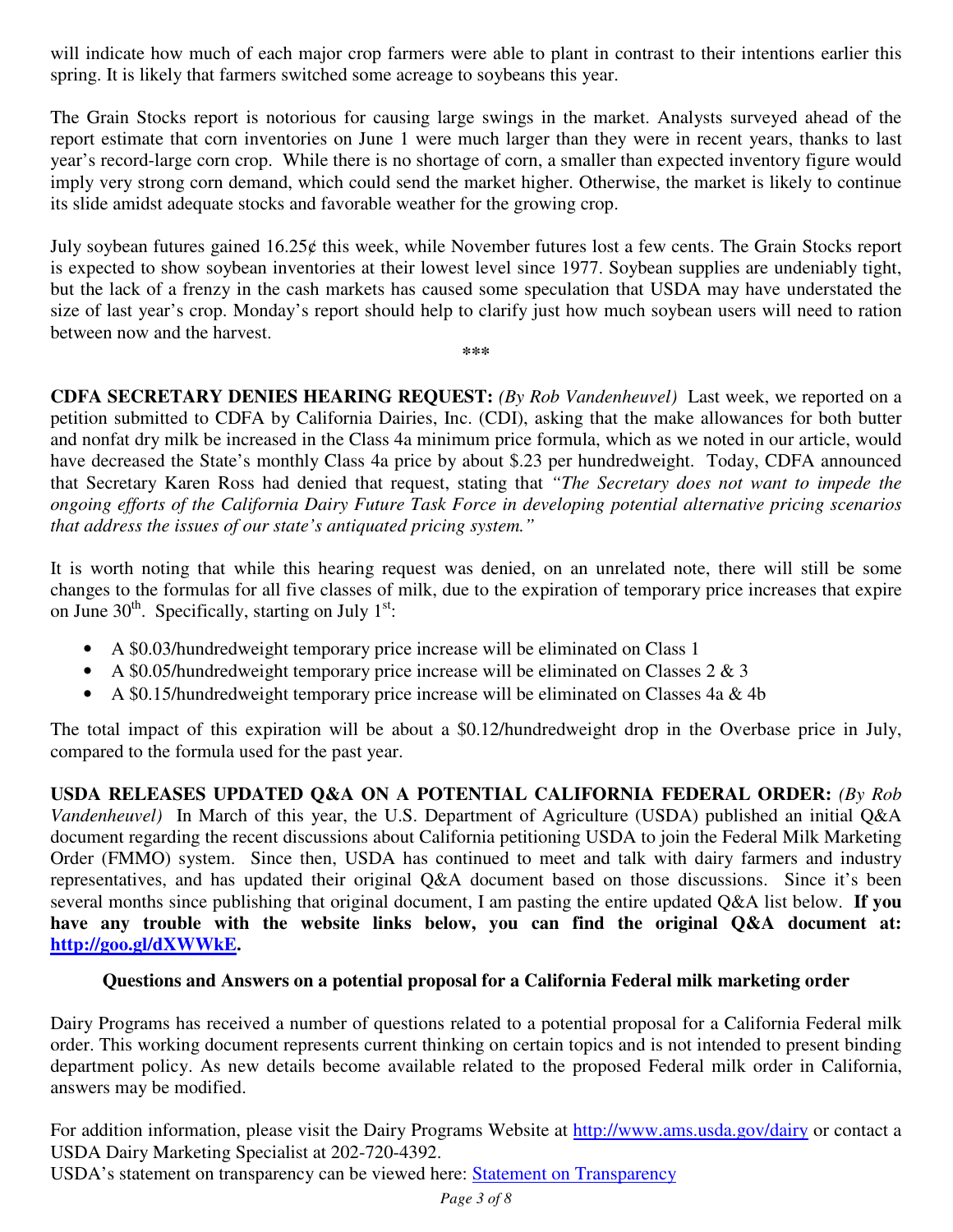will indicate how much of each major crop farmers were able to plant in contrast to their intentions earlier this spring. It is likely that farmers switched some acreage to soybeans this year.

The Grain Stocks report is notorious for causing large swings in the market. Analysts surveyed ahead of the report estimate that corn inventories on June 1 were much larger than they were in recent years, thanks to last year's record-large corn crop. While there is no shortage of corn, a smaller than expected inventory figure would imply very strong corn demand, which could send the market higher. Otherwise, the market is likely to continue its slide amidst adequate stocks and favorable weather for the growing crop.

July soybean futures gained 16.25¢ this week, while November futures lost a few cents. The Grain Stocks report is expected to show soybean inventories at their lowest level since 1977. Soybean supplies are undeniably tight, but the lack of a frenzy in the cash markets has caused some speculation that USDA may have understated the size of last year's crop. Monday's report should help to clarify just how much soybean users will need to ration between now and the harvest. **\*\*\*** 

**CDFA SECRETARY DENIES HEARING REQUEST:** *(By Rob Vandenheuvel)* Last week, we reported on a petition submitted to CDFA by California Dairies, Inc. (CDI), asking that the make allowances for both butter and nonfat dry milk be increased in the Class 4a minimum price formula, which as we noted in our article, would have decreased the State's monthly Class 4a price by about \$.23 per hundredweight. Today, CDFA announced that Secretary Karen Ross had denied that request, stating that *"The Secretary does not want to impede the ongoing efforts of the California Dairy Future Task Force in developing potential alternative pricing scenarios that address the issues of our state's antiquated pricing system."*

It is worth noting that while this hearing request was denied, on an unrelated note, there will still be some changes to the formulas for all five classes of milk, due to the expiration of temporary price increases that expire on June  $30<sup>th</sup>$ . Specifically, starting on July  $1<sup>st</sup>$ :

- A \$0.03/hundredweight temporary price increase will be eliminated on Class 1
- A \$0.05/hundredweight temporary price increase will be eliminated on Classes  $2 \& 3$
- A \$0.15/hundredweight temporary price increase will be eliminated on Classes 4a & 4b

The total impact of this expiration will be about a \$0.12/hundredweight drop in the Overbase price in July, compared to the formula used for the past year.

**USDA RELEASES UPDATED Q&A ON A POTENTIAL CALIFORNIA FEDERAL ORDER:** *(By Rob Vandenheuvel)* In March of this year, the U.S. Department of Agriculture (USDA) published an initial Q&A document regarding the recent discussions about California petitioning USDA to join the Federal Milk Marketing Order (FMMO) system. Since then, USDA has continued to meet and talk with dairy farmers and industry representatives, and has updated their original Q&A document based on those discussions. Since it's been several months since publishing that original document, I am pasting the entire updated Q&A list below. **If you have any trouble with the website links below, you can find the original Q&A document at: http://goo.gl/dXWWkE.** 

#### **Questions and Answers on a potential proposal for a California Federal milk marketing order**

Dairy Programs has received a number of questions related to a potential proposal for a California Federal milk order. This working document represents current thinking on certain topics and is not intended to present binding department policy. As new details become available related to the proposed Federal milk order in California, answers may be modified.

For addition information, please visit the Dairy Programs Website at http://www.ams.usda.gov/dairy or contact a USDA Dairy Marketing Specialist at 202-720-4392.

USDA's statement on transparency can be viewed here: Statement on Transparency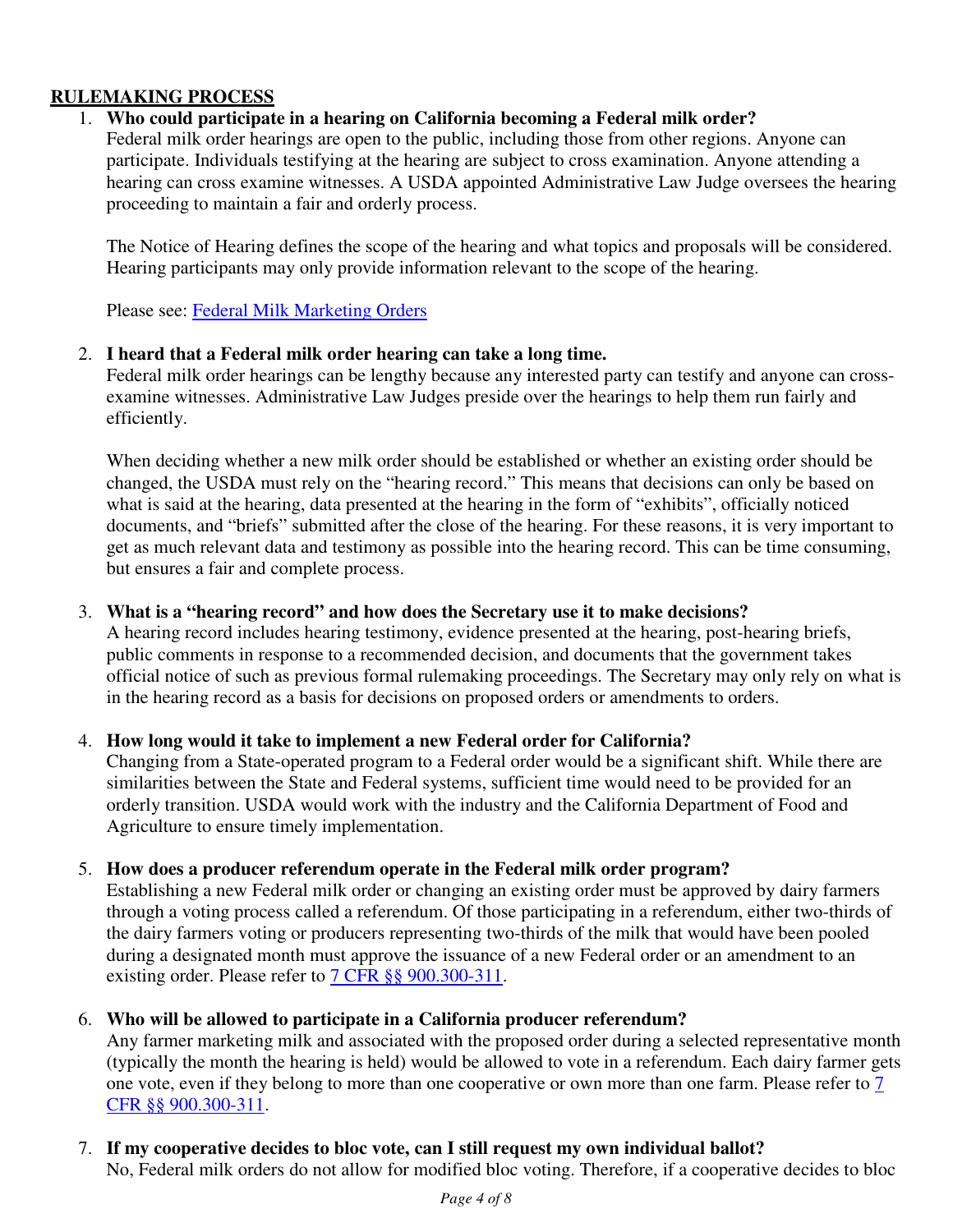# **RULEMAKING PROCESS**

# 1. **Who could participate in a hearing on California becoming a Federal milk order?**

Federal milk order hearings are open to the public, including those from other regions. Anyone can participate. Individuals testifying at the hearing are subject to cross examination. Anyone attending a hearing can cross examine witnesses. A USDA appointed Administrative Law Judge oversees the hearing proceeding to maintain a fair and orderly process.

The Notice of Hearing defines the scope of the hearing and what topics and proposals will be considered. Hearing participants may only provide information relevant to the scope of the hearing.

Please see: Federal Milk Marketing Orders

# 2. **I heard that a Federal milk order hearing can take a long time.**

Federal milk order hearings can be lengthy because any interested party can testify and anyone can crossexamine witnesses. Administrative Law Judges preside over the hearings to help them run fairly and efficiently.

When deciding whether a new milk order should be established or whether an existing order should be changed, the USDA must rely on the "hearing record." This means that decisions can only be based on what is said at the hearing, data presented at the hearing in the form of "exhibits", officially noticed documents, and "briefs" submitted after the close of the hearing. For these reasons, it is very important to get as much relevant data and testimony as possible into the hearing record. This can be time consuming, but ensures a fair and complete process.

# 3. **What is a "hearing record" and how does the Secretary use it to make decisions?**

A hearing record includes hearing testimony, evidence presented at the hearing, post-hearing briefs, public comments in response to a recommended decision, and documents that the government takes official notice of such as previous formal rulemaking proceedings. The Secretary may only rely on what is in the hearing record as a basis for decisions on proposed orders or amendments to orders.

# 4. **How long would it take to implement a new Federal order for California?**

Changing from a State-operated program to a Federal order would be a significant shift. While there are similarities between the State and Federal systems, sufficient time would need to be provided for an orderly transition. USDA would work with the industry and the California Department of Food and Agriculture to ensure timely implementation.

#### 5. **How does a producer referendum operate in the Federal milk order program?**

Establishing a new Federal milk order or changing an existing order must be approved by dairy farmers through a voting process called a referendum. Of those participating in a referendum, either two-thirds of the dairy farmers voting or producers representing two-thirds of the milk that would have been pooled during a designated month must approve the issuance of a new Federal order or an amendment to an existing order. Please refer to 7 CFR §§ 900.300-311.

# 6. **Who will be allowed to participate in a California producer referendum?**

Any farmer marketing milk and associated with the proposed order during a selected representative month (typically the month the hearing is held) would be allowed to vote in a referendum. Each dairy farmer gets one vote, even if they belong to more than one cooperative or own more than one farm. Please refer to  $\frac{7}{1}$ CFR §§ 900.300-311.

# 7. **If my cooperative decides to bloc vote, can I still request my own individual ballot?**

No, Federal milk orders do not allow for modified bloc voting. Therefore, if a cooperative decides to bloc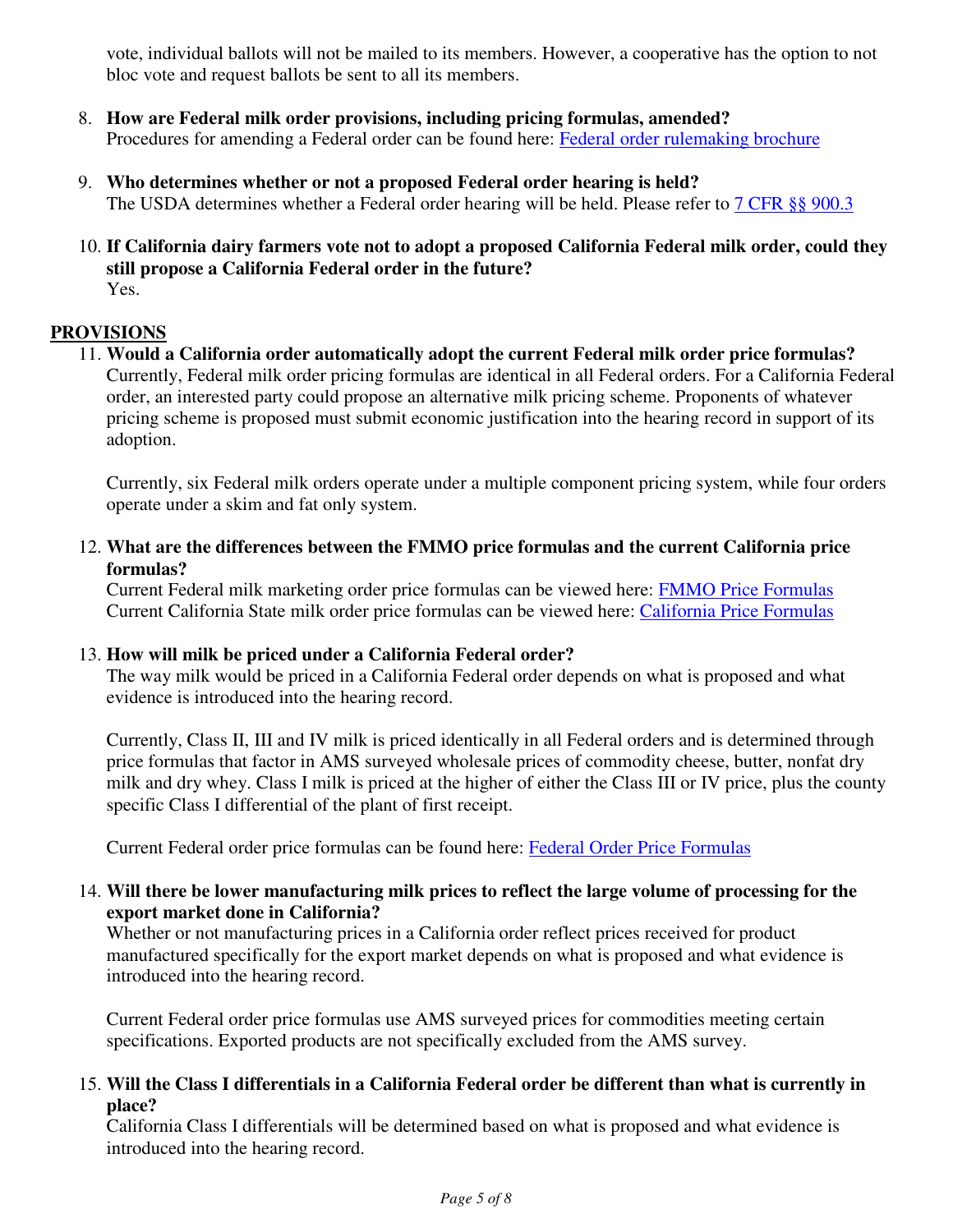vote, individual ballots will not be mailed to its members. However, a cooperative has the option to not bloc vote and request ballots be sent to all its members.

- 8. **How are Federal milk order provisions, including pricing formulas, amended?** Procedures for amending a Federal order can be found here: Federal order rulemaking brochure
- 9. **Who determines whether or not a proposed Federal order hearing is held?** The USDA determines whether a Federal order hearing will be held. Please refer to 7 CFR §§ 900.3
- 10. **If California dairy farmers vote not to adopt a proposed California Federal milk order, could they still propose a California Federal order in the future?** Yes.

# **PROVISIONS**

11. **Would a California order automatically adopt the current Federal milk order price formulas?** Currently, Federal milk order pricing formulas are identical in all Federal orders. For a California Federal order, an interested party could propose an alternative milk pricing scheme. Proponents of whatever pricing scheme is proposed must submit economic justification into the hearing record in support of its adoption.

Currently, six Federal milk orders operate under a multiple component pricing system, while four orders operate under a skim and fat only system.

12. **What are the differences between the FMMO price formulas and the current California price formulas?**

Current Federal milk marketing order price formulas can be viewed here: FMMO Price Formulas Current California State milk order price formulas can be viewed here: California Price Formulas

#### 13. **How will milk be priced under a California Federal order?**

The way milk would be priced in a California Federal order depends on what is proposed and what evidence is introduced into the hearing record.

Currently, Class II, III and IV milk is priced identically in all Federal orders and is determined through price formulas that factor in AMS surveyed wholesale prices of commodity cheese, butter, nonfat dry milk and dry whey. Class I milk is priced at the higher of either the Class III or IV price, plus the county specific Class I differential of the plant of first receipt.

Current Federal order price formulas can be found here: Federal Order Price Formulas

# 14. **Will there be lower manufacturing milk prices to reflect the large volume of processing for the export market done in California?**

Whether or not manufacturing prices in a California order reflect prices received for product manufactured specifically for the export market depends on what is proposed and what evidence is introduced into the hearing record.

Current Federal order price formulas use AMS surveyed prices for commodities meeting certain specifications. Exported products are not specifically excluded from the AMS survey.

# 15. **Will the Class I differentials in a California Federal order be different than what is currently in place?**

California Class I differentials will be determined based on what is proposed and what evidence is introduced into the hearing record.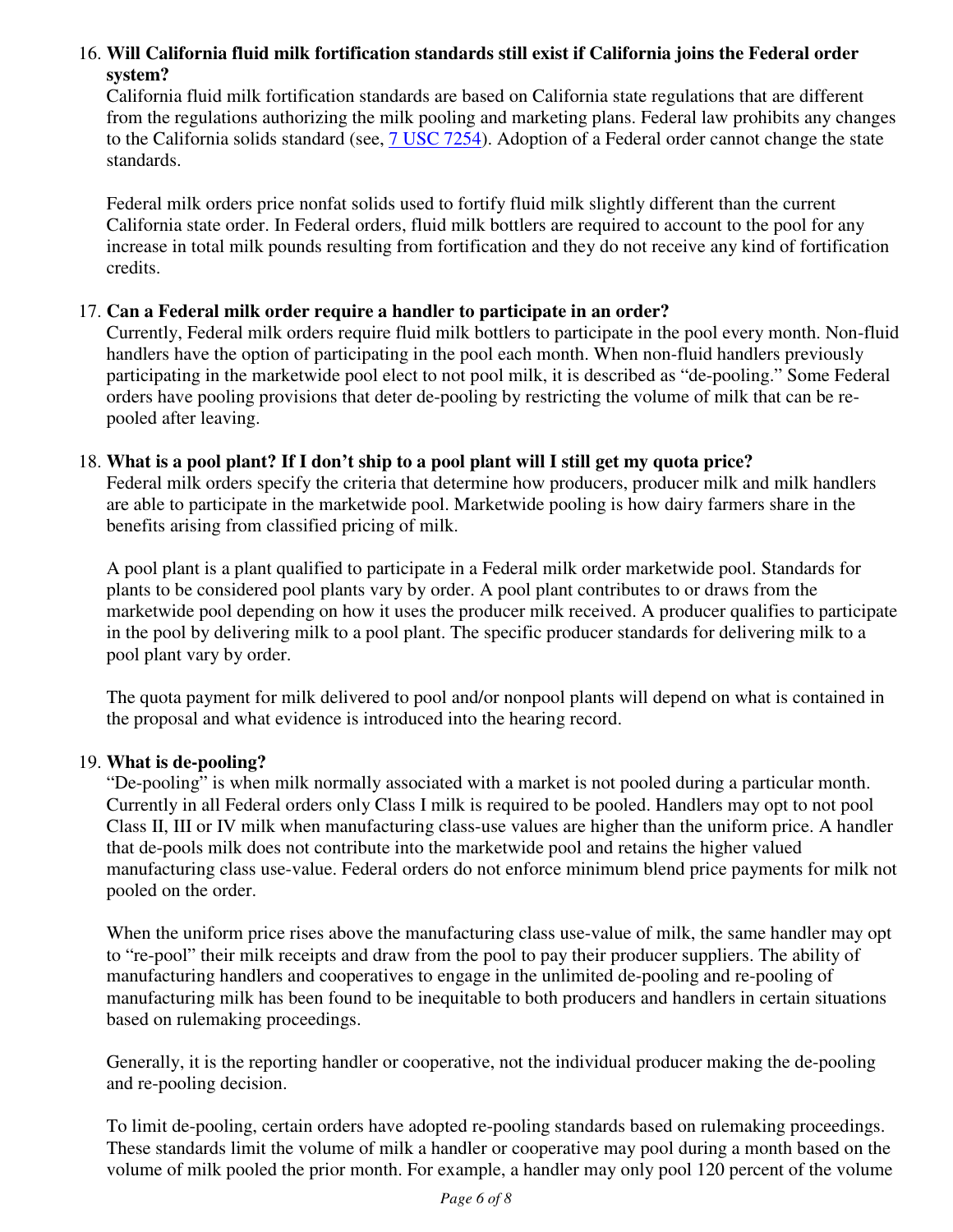# 16. **Will California fluid milk fortification standards still exist if California joins the Federal order system?**

California fluid milk fortification standards are based on California state regulations that are different from the regulations authorizing the milk pooling and marketing plans. Federal law prohibits any changes to the California solids standard (see, 7 USC 7254). Adoption of a Federal order cannot change the state standards.

Federal milk orders price nonfat solids used to fortify fluid milk slightly different than the current California state order. In Federal orders, fluid milk bottlers are required to account to the pool for any increase in total milk pounds resulting from fortification and they do not receive any kind of fortification credits.

# 17. **Can a Federal milk order require a handler to participate in an order?**

Currently, Federal milk orders require fluid milk bottlers to participate in the pool every month. Non-fluid handlers have the option of participating in the pool each month. When non-fluid handlers previously participating in the marketwide pool elect to not pool milk, it is described as "de-pooling." Some Federal orders have pooling provisions that deter de-pooling by restricting the volume of milk that can be repooled after leaving.

#### 18. **What is a pool plant? If I don't ship to a pool plant will I still get my quota price?**

Federal milk orders specify the criteria that determine how producers, producer milk and milk handlers are able to participate in the marketwide pool. Marketwide pooling is how dairy farmers share in the benefits arising from classified pricing of milk.

A pool plant is a plant qualified to participate in a Federal milk order marketwide pool. Standards for plants to be considered pool plants vary by order. A pool plant contributes to or draws from the marketwide pool depending on how it uses the producer milk received. A producer qualifies to participate in the pool by delivering milk to a pool plant. The specific producer standards for delivering milk to a pool plant vary by order.

The quota payment for milk delivered to pool and/or nonpool plants will depend on what is contained in the proposal and what evidence is introduced into the hearing record.

#### 19. **What is de-pooling?**

"De-pooling" is when milk normally associated with a market is not pooled during a particular month. Currently in all Federal orders only Class I milk is required to be pooled. Handlers may opt to not pool Class II, III or IV milk when manufacturing class-use values are higher than the uniform price. A handler that de-pools milk does not contribute into the marketwide pool and retains the higher valued manufacturing class use-value. Federal orders do not enforce minimum blend price payments for milk not pooled on the order.

When the uniform price rises above the manufacturing class use-value of milk, the same handler may opt to "re-pool" their milk receipts and draw from the pool to pay their producer suppliers. The ability of manufacturing handlers and cooperatives to engage in the unlimited de-pooling and re-pooling of manufacturing milk has been found to be inequitable to both producers and handlers in certain situations based on rulemaking proceedings.

Generally, it is the reporting handler or cooperative, not the individual producer making the de-pooling and re-pooling decision.

To limit de-pooling, certain orders have adopted re-pooling standards based on rulemaking proceedings. These standards limit the volume of milk a handler or cooperative may pool during a month based on the volume of milk pooled the prior month. For example, a handler may only pool 120 percent of the volume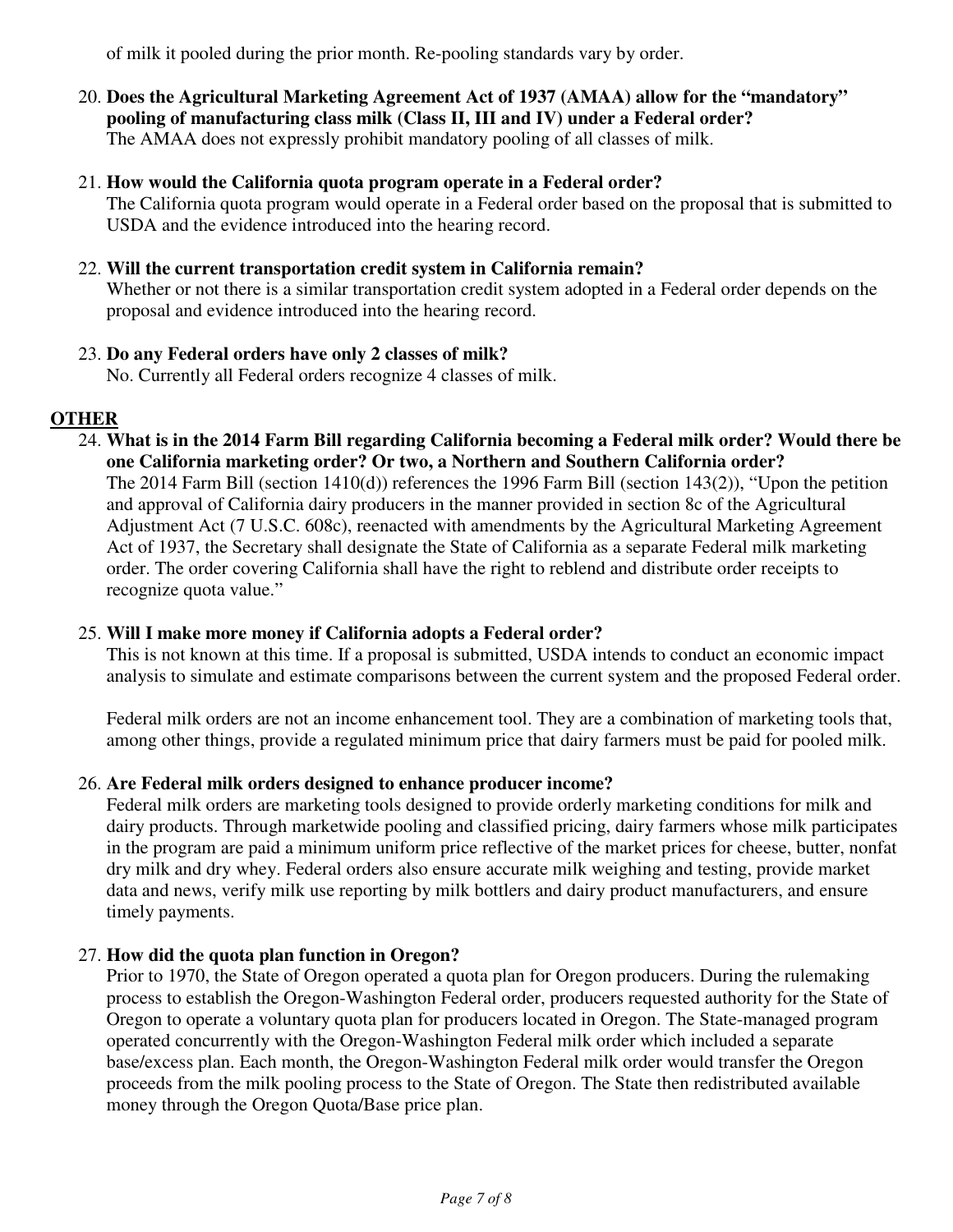of milk it pooled during the prior month. Re-pooling standards vary by order.

#### 20. **Does the Agricultural Marketing Agreement Act of 1937 (AMAA) allow for the "mandatory" pooling of manufacturing class milk (Class II, III and IV) under a Federal order?** The AMAA does not expressly prohibit mandatory pooling of all classes of milk.

# 21. **How would the California quota program operate in a Federal order?**

The California quota program would operate in a Federal order based on the proposal that is submitted to USDA and the evidence introduced into the hearing record.

# 22. **Will the current transportation credit system in California remain?**

Whether or not there is a similar transportation credit system adopted in a Federal order depends on the proposal and evidence introduced into the hearing record.

# 23. **Do any Federal orders have only 2 classes of milk?**

No. Currently all Federal orders recognize 4 classes of milk.

# **OTHER**

24. **What is in the 2014 Farm Bill regarding California becoming a Federal milk order? Would there be one California marketing order? Or two, a Northern and Southern California order?**

The 2014 Farm Bill (section 1410(d)) references the 1996 Farm Bill (section 143(2)), "Upon the petition and approval of California dairy producers in the manner provided in section 8c of the Agricultural Adjustment Act (7 U.S.C. 608c), reenacted with amendments by the Agricultural Marketing Agreement Act of 1937, the Secretary shall designate the State of California as a separate Federal milk marketing order. The order covering California shall have the right to reblend and distribute order receipts to recognize quota value."

# 25. **Will I make more money if California adopts a Federal order?**

This is not known at this time. If a proposal is submitted, USDA intends to conduct an economic impact analysis to simulate and estimate comparisons between the current system and the proposed Federal order.

Federal milk orders are not an income enhancement tool. They are a combination of marketing tools that, among other things, provide a regulated minimum price that dairy farmers must be paid for pooled milk.

# 26. **Are Federal milk orders designed to enhance producer income?**

Federal milk orders are marketing tools designed to provide orderly marketing conditions for milk and dairy products. Through marketwide pooling and classified pricing, dairy farmers whose milk participates in the program are paid a minimum uniform price reflective of the market prices for cheese, butter, nonfat dry milk and dry whey. Federal orders also ensure accurate milk weighing and testing, provide market data and news, verify milk use reporting by milk bottlers and dairy product manufacturers, and ensure timely payments.

# 27. **How did the quota plan function in Oregon?**

Prior to 1970, the State of Oregon operated a quota plan for Oregon producers. During the rulemaking process to establish the Oregon-Washington Federal order, producers requested authority for the State of Oregon to operate a voluntary quota plan for producers located in Oregon. The State-managed program operated concurrently with the Oregon-Washington Federal milk order which included a separate base/excess plan. Each month, the Oregon-Washington Federal milk order would transfer the Oregon proceeds from the milk pooling process to the State of Oregon. The State then redistributed available money through the Oregon Quota/Base price plan.